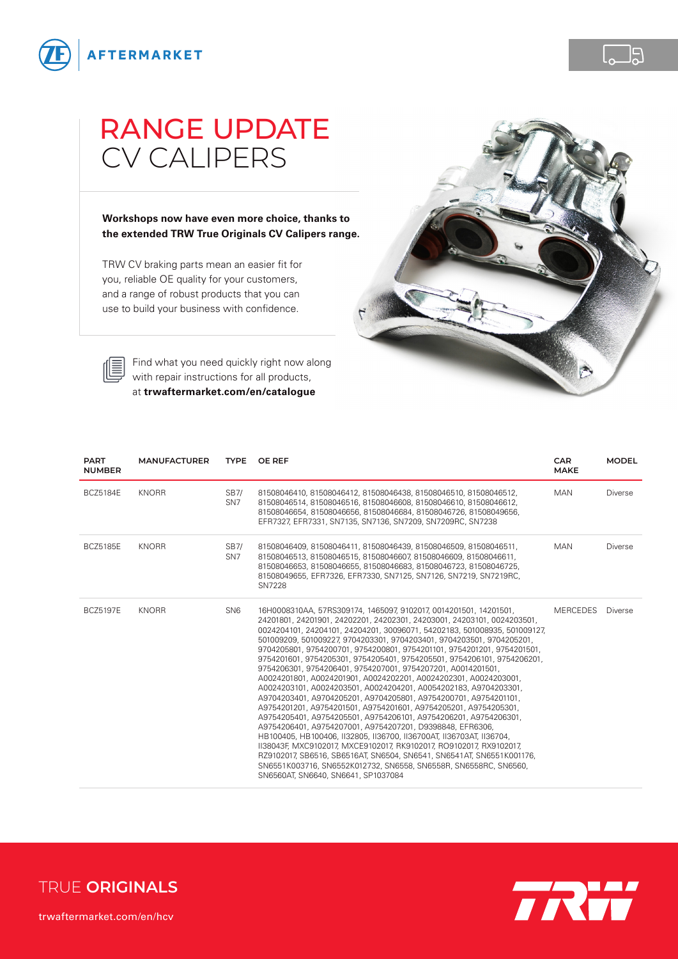

## RANGE UPDATE CV CALIPERS

**Workshops now have even more choice, thanks to the extended TRW True Originals CV Calipers range.**

TRW CV braking parts mean an easier fit for you, reliable OE quality for your customers, and a range of robust products that you can use to build your business with confidence.





[Find what you need quickly right now along](http://www.trwaftermarket.com/en/catalogue)  with repair instructions for all products, at **[trwaftermarket.com/en/catalogue](http://www.trwaftermarket.com/en/catalogue/)**

| <b>PART</b><br><b>NUMBER</b> | <b>MANUFACTURER</b> |                                | TYPE OF REF                                                                                                                                                                                                                                                                                                                                                                                                                                                                                                                                                                                                                                                                                                                                                                                                                                                                                                                                                                                                                                                                                                                                                                                                                                                                 | <b>CAR</b><br><b>MAKE</b> | <b>MODEL</b>   |
|------------------------------|---------------------|--------------------------------|-----------------------------------------------------------------------------------------------------------------------------------------------------------------------------------------------------------------------------------------------------------------------------------------------------------------------------------------------------------------------------------------------------------------------------------------------------------------------------------------------------------------------------------------------------------------------------------------------------------------------------------------------------------------------------------------------------------------------------------------------------------------------------------------------------------------------------------------------------------------------------------------------------------------------------------------------------------------------------------------------------------------------------------------------------------------------------------------------------------------------------------------------------------------------------------------------------------------------------------------------------------------------------|---------------------------|----------------|
| <b>BCZ5184E</b>              | <b>KNORR</b>        | <b>SB7/</b><br>SN <sub>7</sub> | 81508046410, 81508046412, 81508046438, 81508046510, 81508046512,<br>81508046514, 81508046516, 81508046608, 81508046610, 81508046612,<br>81508046654, 81508046656, 81508046684, 81508046726, 81508049656,<br>EFR7327, EFR7331, SN7135, SN7136, SN7209, SN7209RC, SN7238                                                                                                                                                                                                                                                                                                                                                                                                                                                                                                                                                                                                                                                                                                                                                                                                                                                                                                                                                                                                      | <b>MAN</b>                | <b>Diverse</b> |
| <b>BCZ5185E</b>              | <b>KNORR</b>        | SB7/<br>SN <sub>7</sub>        | 81508046409, 81508046411, 81508046439, 81508046509, 81508046511,<br>81508046513, 81508046515, 81508046607, 81508046609, 81508046611,<br>81508046653, 81508046655, 81508046683, 81508046723, 81508046725,<br>81508049655, EFR7326, EFR7330, SN7125, SN7126, SN7219, SN7219RC.<br><b>SN7228</b>                                                                                                                                                                                                                                                                                                                                                                                                                                                                                                                                                                                                                                                                                                                                                                                                                                                                                                                                                                               | <b>MAN</b>                | <b>Diverse</b> |
| <b>BCZ5197E</b>              | <b>KNORR</b>        | SN <sub>6</sub>                | 16H0008310AA, 57RS309174, 1465097, 9102017, 0014201501, 14201501,<br>24201801, 24201901, 24202201, 24202301, 24203001, 24203101, 0024203501,<br>0024204101, 24204101, 24204201, 30096071, 54202183, 501008935, 501009127,<br>501009209, 501009227, 9704203301, 9704203401, 9704203501, 9704205201,<br>9704205801, 9754200701, 9754200801, 9754201101, 9754201201, 9754201501,<br>9754201601, 9754205301, 9754205401, 9754205501, 9754206101, 9754206201,<br>9754206301, 9754206401, 9754207001, 9754207201, A0014201501,<br>A0024201801, A0024201901, A0024202201, A0024202301, A0024203001,<br>A0024203101, A0024203501, A0024204201, A0054202183, A9704203301,<br>A9704203401, A9704205201, A9704205801, A9754200701, A9754201101,<br>A9754201201, A9754201501, A9754201601, A9754205201, A9754205301,<br>A9754205401, A9754205501, A9754206101, A9754206201, A9754206301,<br>A9754206401, A9754207001, A9754207201, D9398848, EFR6306,<br>HB100405, HB100406, II32805, II36700, II36700AT, II36703AT, II36704,<br>138043F, MXC9102017, MXCE9102017, RK9102017, RO9102017, RX9102017,<br>RZ9102017, SB6516, SB6516AT, SN6504, SN6541, SN6541AT, SN6551K001176,<br>SN6551K003716, SN6552K012732, SN6558, SN6558R, SN6558RC, SN6560,<br>SN6560AT, SN6640, SN6641, SP1037084 | <b>MERCEDES</b>           | <b>Diverse</b> |



 $\Box$ g

[trwaftermarket.com/en/hcv](http://www.trwaftermarket.com/en/hcv/)

**TRUE ORIGINALS**